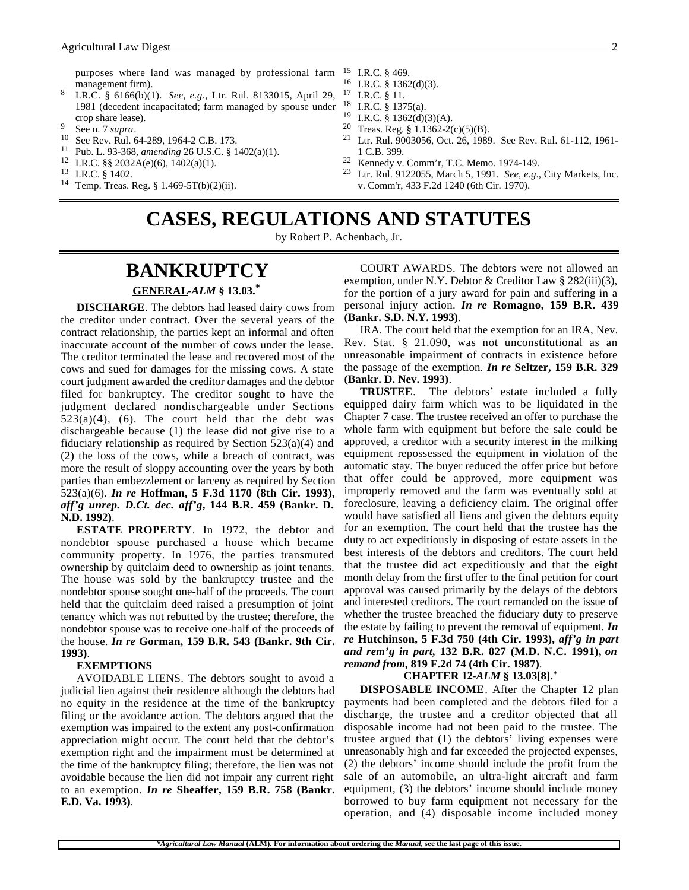purposes where land was managed by professional farm management firm).

- <sup>8</sup> I.R.C. § 6166(b)(1). *See, e.g*., Ltr. Rul. 8133015, April 29, 1981 (decedent incapacitated; farm managed by spouse under crop share lease).
- 
- <sup>9</sup> See n. 7 *supra*.<br><sup>10</sup> See Rev. Rul. 64-289, 1964-2 C.B. 173.
- <sup>11</sup> Pub. L. 93-368, *amending* 26 U.S.C. § 1402(a)(1).
- <sup>12</sup> I.R.C. §§ 2032A(e)(6), 1402(a)(1).
- $^{13}$  I.R.C. § 1402.
- Temp. Treas. Reg. § 1.469-5T(b)(2)(ii).
- $^{15}$  I.R.C. § 469.<br> $^{16}$  IRC 8 136
	- I.R.C.  $§$  1362(d)(3).
- <sup>17</sup> I.R.C. § 11.
- $^{18}$  I.R.C. § 1375(a).
- <sup>19</sup> I.R.C. § 1362(d)(3)(A).<br><sup>20</sup> Treas Reg. <sup>8</sup> 1 1362.20
- <sup>20</sup> Treas. Reg. § 1.1362-2(c)(5)(B).<br><sup>21</sup> Ltr Rul 9003056 Oct 26, 1989
- Ltr. Rul. 9003056, Oct. 26, 1989. See Rev. Rul. 61-112, 1961-1 C.B. 399.
- 22 Kennedy v. Comm'r, T.C. Memo. 1974-149.<br>23 June 10120055, March 5, 1001, See a.g.
- <sup>23</sup> Ltr. Rul. 9122055, March 5, 1991. *See, e.g*., City Markets, Inc. v. Comm'r, 433 F.2d 1240 (6th Cir. 1970).

# **CASES, REGULATIONS AND STATUTES**

by Robert P. Achenbach, Jr.

### **BANKRUPTCY GENERAL -***ALM* **§ 13.03.\***

**DISCHARGE**. The debtors had leased dairy cows from the creditor under contract. Over the several years of the contract relationship, the parties kept an informal and often inaccurate account of the number of cows under the lease. The creditor terminated the lease and recovered most of the cows and sued for damages for the missing cows. A state court judgment awarded the creditor damages and the debtor filed for bankruptcy. The creditor sought to have the judgment declared nondischargeable under Sections  $523(a)(4)$ , (6). The court held that the debt was dischargeable because (1) the lease did not give rise to a fiduciary relationship as required by Section  $523(a)(4)$  and (2) the loss of the cows, while a breach of contract, was more the result of sloppy accounting over the years by both parties than embezzlement or larceny as required by Section 523(a)(6). *In re* **Hoffman, 5 F.3d 1170 (8th Cir. 1993),** *aff'g unrep. D.Ct. dec. aff'g***, 144 B.R. 459 (Bankr. D. N.D. 1992)**.

**ESTATE PROPERTY**. In 1972, the debtor and nondebtor spouse purchased a house which became community property. In 1976, the parties transmuted ownership by quitclaim deed to ownership as joint tenants. The house was sold by the bankruptcy trustee and the nondebtor spouse sought one-half of the proceeds. The court held that the quitclaim deed raised a presumption of joint tenancy which was not rebutted by the trustee; therefore, the nondebtor spouse was to receive one-half of the proceeds of the house. *In re* **Gorman, 159 B.R. 543 (Bankr. 9th Cir. 1993)**.

### **EXEMPTIONS**

AVOIDABLE LIENS. The debtors sought to avoid a judicial lien against their residence although the debtors had no equity in the residence at the time of the bankruptcy filing or the avoidance action. The debtors argued that the exemption was impaired to the extent any post-confirmation appreciation might occur. The court held that the debtor's exemption right and the impairment must be determined at the time of the bankruptcy filing; therefore, the lien was not avoidable because the lien did not impair any current right to an exemption. *In re* **Sheaffer, 159 B.R. 758 (Bankr. E.D. Va. 1993)**.

COURT AWARDS. The debtors were not allowed an exemption, under N.Y. Debtor & Creditor Law § 282(iii)(3), for the portion of a jury award for pain and suffering in a personal injury action. *In re* **Romagno, 159 B.R. 439 (Bankr. S.D. N.Y. 1993)**.

IRA. The court held that the exemption for an IRA, Nev. Rev. Stat. § 21.090, was not unconstitutional as an unreasonable impairment of contracts in existence before the passage of the exemption. *In re* **Seltzer, 159 B.R. 329 (Bankr. D. Nev. 1993)**.

**TRUSTEE**. The debtors' estate included a fully equipped dairy farm which was to be liquidated in the Chapter 7 case. The trustee received an offer to purchase the whole farm with equipment but before the sale could be approved, a creditor with a security interest in the milking equipment repossessed the equipment in violation of the automatic stay. The buyer reduced the offer price but before that offer could be approved, more equipment was improperly removed and the farm was eventually sold at foreclosure, leaving a deficiency claim. The original offer would have satisfied all liens and given the debtors equity for an exemption. The court held that the trustee has the duty to act expeditiously in disposing of estate assets in the best interests of the debtors and creditors. The court held that the trustee did act expeditiously and that the eight month delay from the first offer to the final petition for court approval was caused primarily by the delays of the debtors and interested creditors. The court remanded on the issue of whether the trustee breached the fiduciary duty to preserve the estate by failing to prevent the removal of equipment. *In re* **Hutchinson, 5 F.3d 750 (4th Cir. 1993),** *aff'g in part and rem'g in part,* **132 B.R. 827 (M.D. N.C. 1991),** *on remand from***, 819 F.2d 74 (4th Cir. 1987)**.

### **CHAPTER 12 -***ALM* **§ 13.03[8].\***

**DISPOSABLE INCOME**. After the Chapter 12 plan payments had been completed and the debtors filed for a discharge, the trustee and a creditor objected that all disposable income had not been paid to the trustee. The trustee argued that (1) the debtors' living expenses were unreasonably high and far exceeded the projected expenses, (2) the debtors' income should include the profit from the sale of an automobile, an ultra-light aircraft and farm equipment, (3) the debtors' income should include money borrowed to buy farm equipment not necessary for the operation, and (4) disposable income included money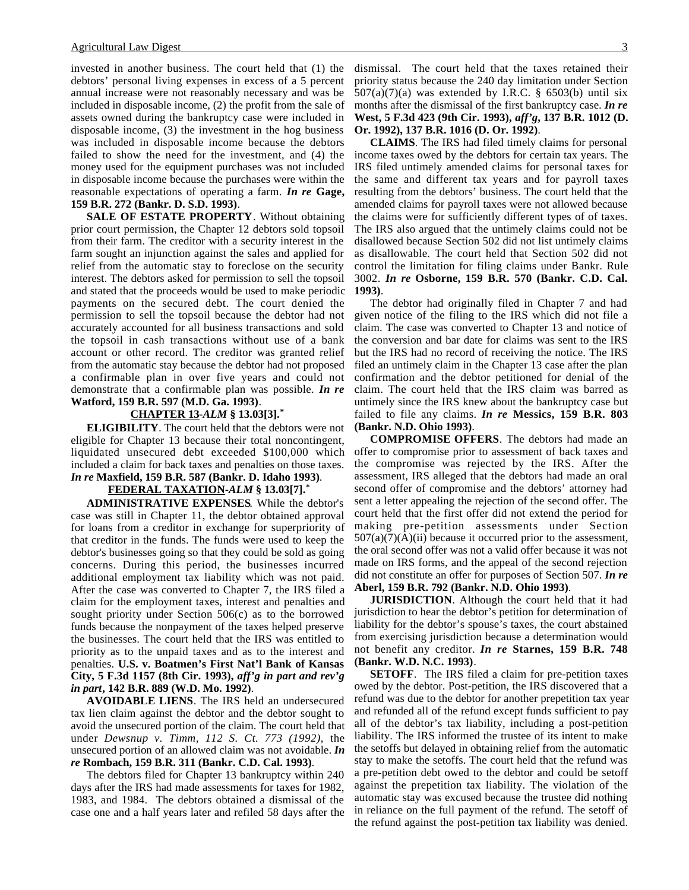invested in another business. The court held that (1) the debtors' personal living expenses in excess of a 5 percent annual increase were not reasonably necessary and was be included in disposable income, (2) the profit from the sale of assets owned during the bankruptcy case were included in disposable income, (3) the investment in the hog business was included in disposable income because the debtors failed to show the need for the investment, and (4) the money used for the equipment purchases was not included in disposable income because the purchases were within the reasonable expectations of operating a farm. *In re* **Gage, 159 B.R. 272 (Bankr. D. S.D. 1993)**.

**SALE OF ESTATE PROPERTY**. Without obtaining prior court permission, the Chapter 12 debtors sold topsoil from their farm. The creditor with a security interest in the farm sought an injunction against the sales and applied for relief from the automatic stay to foreclose on the security interest. The debtors asked for permission to sell the topsoil and stated that the proceeds would be used to make periodic payments on the secured debt. The court denied the permission to sell the topsoil because the debtor had not accurately accounted for all business transactions and sold the topsoil in cash transactions without use of a bank account or other record. The creditor was granted relief from the automatic stay because the debtor had not proposed a confirmable plan in over five years and could not demonstrate that a confirmable plan was possible. *In re* **Watford, 159 B.R. 597 (M.D. Ga. 1993)**.

#### **CHAPTER 13 -***ALM* **§ 13.03[3].\***

**ELIGIBILITY**. The court held that the debtors were not eligible for Chapter 13 because their total noncontingent, liquidated unsecured debt exceeded \$100,000 which included a claim for back taxes and penalties on those taxes. *In re* **Maxfield, 159 B.R. 587 (Bankr. D. Idaho 1993)**.

#### **FEDERAL TAXATION -***ALM* **§ 13.03[7].\***

**ADMINISTRATIVE EXPENSES**. While the debtor's case was still in Chapter 11, the debtor obtained approval for loans from a creditor in exchange for superpriority of that creditor in the funds. The funds were used to keep the debtor's businesses going so that they could be sold as going concerns. During this period, the businesses incurred additional employment tax liability which was not paid. After the case was converted to Chapter 7, the IRS filed a claim for the employment taxes, interest and penalties and sought priority under Section 506(c) as to the borrowed funds because the nonpayment of the taxes helped preserve the businesses. The court held that the IRS was entitled to priority as to the unpaid taxes and as to the interest and penalties. **U.S. v. Boatmen's First Nat'l Bank of Kansas City, 5 F.3d 1157 (8th Cir. 1993),** *aff'g in part and rev'g in part***, 142 B.R. 889 (W.D. Mo. 1992)**.

**AVOIDABLE LIENS**. The IRS held an undersecured tax lien claim against the debtor and the debtor sought to avoid the unsecured portion of the claim. The court held that under *Dewsnup v. Timm, 112 S. Ct. 773 (1992)*, the unsecured portion of an allowed claim was not avoidable. *In re* **Rombach, 159 B.R. 311 (Bankr. C.D. Cal. 1993)**.

The debtors filed for Chapter 13 bankruptcy within 240 days after the IRS had made assessments for taxes for 1982, 1983, and 1984. The debtors obtained a dismissal of the case one and a half years later and refiled 58 days after the dismissal. The court held that the taxes retained their priority status because the 240 day limitation under Section  $507(a)(7)(a)$  was extended by I.R.C. § 6503(b) until six months after the dismissal of the first bankruptcy case. *In re* **West, 5 F.3d 423 (9th Cir. 1993),** *aff'g***, 137 B.R. 1012 (D. Or. 1992), 137 B.R. 1016 (D. Or. 1992)**.

**CLAIMS**. The IRS had filed timely claims for personal income taxes owed by the debtors for certain tax years. The IRS filed untimely amended claims for personal taxes for the same and different tax years and for payroll taxes resulting from the debtors' business. The court held that the amended claims for payroll taxes were not allowed because the claims were for sufficiently different types of of taxes. The IRS also argued that the untimely claims could not be disallowed because Section 502 did not list untimely claims as disallowable. The court held that Section 502 did not control the limitation for filing claims under Bankr. Rule 3002. *In re* **Osborne, 159 B.R. 570 (Bankr. C.D. Cal. 1993)**.

The debtor had originally filed in Chapter 7 and had given notice of the filing to the IRS which did not file a claim. The case was converted to Chapter 13 and notice of the conversion and bar date for claims was sent to the IRS but the IRS had no record of receiving the notice. The IRS filed an untimely claim in the Chapter 13 case after the plan confirmation and the debtor petitioned for denial of the claim. The court held that the IRS claim was barred as untimely since the IRS knew about the bankruptcy case but failed to file any claims. *In re* **Messics, 159 B.R. 803 (Bankr. N.D. Ohio 1993)**.

**COMPROMISE OFFERS**. The debtors had made an offer to compromise prior to assessment of back taxes and the compromise was rejected by the IRS. After the assessment, IRS alleged that the debtors had made an oral second offer of compromise and the debtors' attorney had sent a letter appealing the rejection of the second offer. The court held that the first offer did not extend the period for making pre-petition assessments under Section  $507(a)(7)(A)(ii)$  because it occurred prior to the assessment, the oral second offer was not a valid offer because it was not made on IRS forms, and the appeal of the second rejection did not constitute an offer for purposes of Section 507. *In re* **Aberl, 159 B.R. 792 (Bankr. N.D. Ohio 1993)**.

**JURISDICTION**. Although the court held that it had jurisdiction to hear the debtor's petition for determination of liability for the debtor's spouse's taxes, the court abstained from exercising jurisdiction because a determination would not benefit any creditor. *In re* **Starnes, 159 B.R. 748 (Bankr. W.D. N.C. 1993)**.

**SETOFF**. The IRS filed a claim for pre-petition taxes owed by the debtor. Post-petition, the IRS discovered that a refund was due to the debtor for another prepetition tax year and refunded all of the refund except funds sufficient to pay all of the debtor's tax liability, including a post-petition liability. The IRS informed the trustee of its intent to make the setoffs but delayed in obtaining relief from the automatic stay to make the setoffs. The court held that the refund was a pre-petition debt owed to the debtor and could be setoff against the prepetition tax liability. The violation of the automatic stay was excused because the trustee did nothing in reliance on the full payment of the refund. The setoff of the refund against the post-petition tax liability was denied.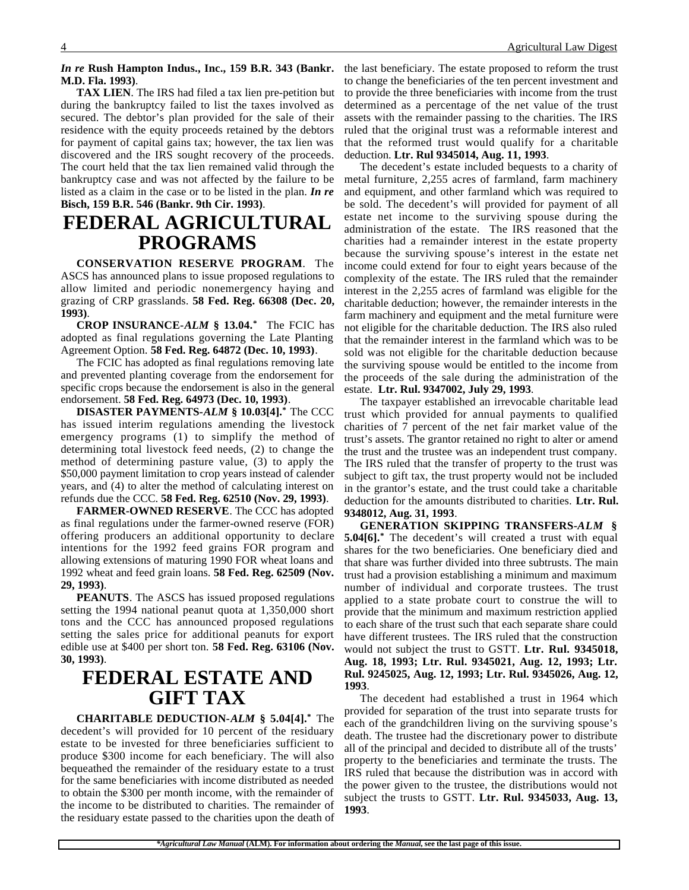### *In re* **Rush Hampton Indus., Inc., 159 B.R. 343 (Bankr. M.D. Fla. 1993)**.

**TAX LIEN**. The IRS had filed a tax lien pre-petition but during the bankruptcy failed to list the taxes involved as secured. The debtor's plan provided for the sale of their residence with the equity proceeds retained by the debtors for payment of capital gains tax; however, the tax lien was discovered and the IRS sought recovery of the proceeds. The court held that the tax lien remained valid through the bankruptcy case and was not affected by the failure to be listed as a claim in the case or to be listed in the plan. *In re* **Bisch, 159 B.R. 546 (Bankr. 9th Cir. 1993)**.

## **FEDERAL AGRICULTURAL PROGRAMS**

**CONSERVATION RESERVE PROGRAM**. The ASCS has announced plans to issue proposed regulations to allow limited and periodic nonemergency haying and grazing of CRP grasslands. **58 Fed. Reg. 66308 (Dec. 20, 1993)**.

**CROP INSURANCE-***ALM* **§ 13.04.\*** The FCIC has adopted as final regulations governing the Late Planting Agreement Option. **58 Fed. Reg. 64872 (Dec. 10, 1993)**.

The FCIC has adopted as final regulations removing late and prevented planting coverage from the endorsement for specific crops because the endorsement is also in the general endorsement. **58 Fed. Reg. 64973 (Dec. 10, 1993)**.

**DISASTER PAYMENTS-***ALM* **§ 10.03[4].\*** The CCC has issued interim regulations amending the livestock emergency programs (1) to simplify the method of determining total livestock feed needs, (2) to change the method of determining pasture value, (3) to apply the \$50,000 payment limitation to crop years instead of calender years, and (4) to alter the method of calculating interest on refunds due the CCC. **58 Fed. Reg. 62510 (Nov. 29, 1993)**.

**FARMER-OWNED RESERVE**. The CCC has adopted as final regulations under the farmer-owned reserve (FOR) offering producers an additional opportunity to declare intentions for the 1992 feed grains FOR program and allowing extensions of maturing 1990 FOR wheat loans and 1992 wheat and feed grain loans. **58 Fed. Reg. 62509 (Nov. 29, 1993)**.

**PEANUTS**. The ASCS has issued proposed regulations setting the 1994 national peanut quota at 1,350,000 short tons and the CCC has announced proposed regulations setting the sales price for additional peanuts for export edible use at \$400 per short ton. **58 Fed. Reg. 63106 (Nov. 30, 1993)**.

## **FEDERAL ESTATE AND GIFT TAX**

**CHARITABLE DEDUCTION-***ALM* **§ 5.04[4].\*** The decedent's will provided for 10 percent of the residuary estate to be invested for three beneficiaries sufficient to produce \$300 income for each beneficiary. The will also bequeathed the remainder of the residuary estate to a trust for the same beneficiaries with income distributed as needed to obtain the \$300 per month income, with the remainder of the income to be distributed to charities. The remainder of the residuary estate passed to the charities upon the death of

the last beneficiary. The estate proposed to reform the trust to change the beneficiaries of the ten percent investment and to provide the three beneficiaries with income from the trust determined as a percentage of the net value of the trust assets with the remainder passing to the charities. The IRS ruled that the original trust was a reformable interest and that the reformed trust would qualify for a charitable deduction. **Ltr. Rul 9345014, Aug. 11, 1993**.

The decedent's estate included bequests to a charity of metal furniture, 2,255 acres of farmland, farm machinery and equipment, and other farmland which was required to be sold. The decedent's will provided for payment of all estate net income to the surviving spouse during the administration of the estate. The IRS reasoned that the charities had a remainder interest in the estate property because the surviving spouse's interest in the estate net income could extend for four to eight years because of the complexity of the estate. The IRS ruled that the remainder interest in the 2,255 acres of farmland was eligible for the charitable deduction; however, the remainder interests in the farm machinery and equipment and the metal furniture were not eligible for the charitable deduction. The IRS also ruled that the remainder interest in the farmland which was to be sold was not eligible for the charitable deduction because the surviving spouse would be entitled to the income from the proceeds of the sale during the administration of the estate. **Ltr. Rul. 9347002, July 29, 1993**.

The taxpayer established an irrevocable charitable lead trust which provided for annual payments to qualified charities of 7 percent of the net fair market value of the trust's assets. The grantor retained no right to alter or amend the trust and the trustee was an independent trust company. The IRS ruled that the transfer of property to the trust was subject to gift tax, the trust property would not be included in the grantor's estate, and the trust could take a charitable deduction for the amounts distributed to charities. **Ltr. Rul. 9348012, Aug. 31, 1993**.

**GENERATION SKIPPING TRANSFERS-***ALM* **§ 5.04[6].\*** The decedent's will created a trust with equal shares for the two beneficiaries. One beneficiary died and that share was further divided into three subtrusts. The main trust had a provision establishing a minimum and maximum number of individual and corporate trustees. The trust applied to a state probate court to construe the will to provide that the minimum and maximum restriction applied to each share of the trust such that each separate share could have different trustees. The IRS ruled that the construction would not subject the trust to GSTT. **Ltr. Rul. 9345018, Aug. 18, 1993; Ltr. Rul. 9345021, Aug. 12, 1993; Ltr. Rul. 9245025, Aug. 12, 1993; Ltr. Rul. 9345026, Aug. 12, 1993**.

The decedent had established a trust in 1964 which provided for separation of the trust into separate trusts for each of the grandchildren living on the surviving spouse's death. The trustee had the discretionary power to distribute all of the principal and decided to distribute all of the trusts' property to the beneficiaries and terminate the trusts. The IRS ruled that because the distribution was in accord with the power given to the trustee, the distributions would not subject the trusts to GSTT. **Ltr. Rul. 9345033, Aug. 13, 1993**.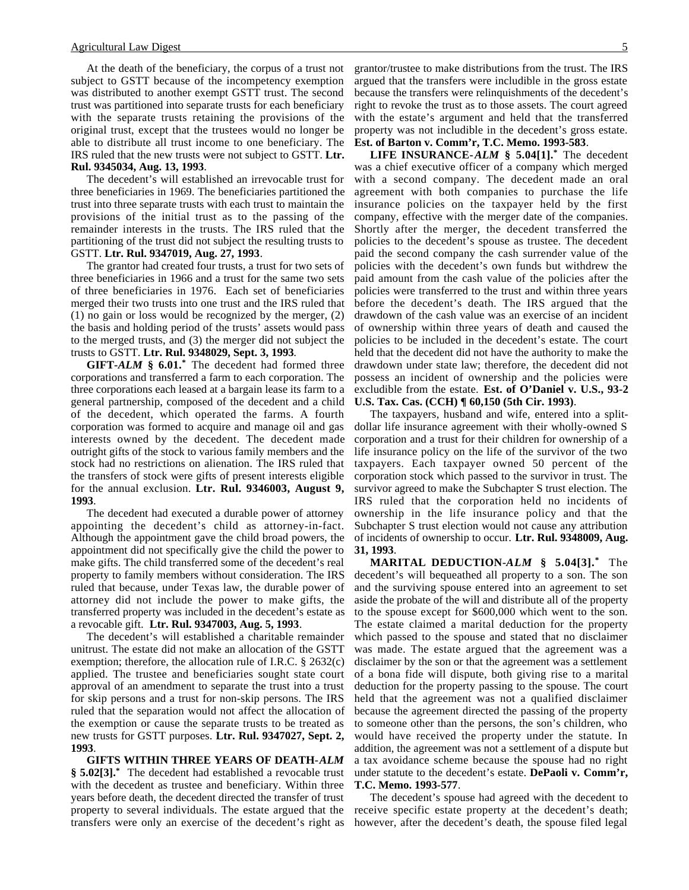At the death of the beneficiary, the corpus of a trust not subject to GSTT because of the incompetency exemption was distributed to another exempt GSTT trust. The second trust was partitioned into separate trusts for each beneficiary with the separate trusts retaining the provisions of the original trust, except that the trustees would no longer be able to distribute all trust income to one beneficiary. The IRS ruled that the new trusts were not subject to GSTT. **Ltr. Rul. 9345034, Aug. 13, 1993**.

The decedent's will established an irrevocable trust for three beneficiaries in 1969. The beneficiaries partitioned the trust into three separate trusts with each trust to maintain the provisions of the initial trust as to the passing of the remainder interests in the trusts. The IRS ruled that the partitioning of the trust did not subject the resulting trusts to GSTT. **Ltr. Rul. 9347019, Aug. 27, 1993**.

The grantor had created four trusts, a trust for two sets of three beneficiaries in 1966 and a trust for the same two sets of three beneficiaries in 1976. Each set of beneficiaries merged their two trusts into one trust and the IRS ruled that (1) no gain or loss would be recognized by the merger, (2) the basis and holding period of the trusts' assets would pass to the merged trusts, and (3) the merger did not subject the trusts to GSTT. **Ltr. Rul. 9348029, Sept. 3, 1993**.

**GIFT-***ALM* **§ 6.01.\*** The decedent had formed three corporations and transferred a farm to each corporation. The three corporations each leased at a bargain lease its farm to a general partnership, composed of the decedent and a child of the decedent, which operated the farms. A fourth corporation was formed to acquire and manage oil and gas interests owned by the decedent. The decedent made outright gifts of the stock to various family members and the stock had no restrictions on alienation. The IRS ruled that the transfers of stock were gifts of present interests eligible for the annual exclusion. **Ltr. Rul. 9346003, August 9, 1993**.

The decedent had executed a durable power of attorney appointing the decedent's child as attorney-in-fact. Although the appointment gave the child broad powers, the appointment did not specifically give the child the power to make gifts. The child transferred some of the decedent's real property to family members without consideration. The IRS ruled that because, under Texas law, the durable power of attorney did not include the power to make gifts, the transferred property was included in the decedent's estate as a revocable gift. **Ltr. Rul. 9347003, Aug. 5, 1993**.

The decedent's will established a charitable remainder unitrust. The estate did not make an allocation of the GSTT exemption; therefore, the allocation rule of I.R.C. § 2632(c) applied. The trustee and beneficiaries sought state court approval of an amendment to separate the trust into a trust for skip persons and a trust for non-skip persons. The IRS ruled that the separation would not affect the allocation of the exemption or cause the separate trusts to be treated as new trusts for GSTT purposes. **Ltr. Rul. 9347027, Sept. 2, 1993**.

**GIFTS WITHIN THREE YEARS OF DEATH-***ALM* **§ 5.02[3].\*** The decedent had established a revocable trust with the decedent as trustee and beneficiary. Within three years before death, the decedent directed the transfer of trust property to several individuals. The estate argued that the transfers were only an exercise of the decedent's right as

grantor/trustee to make distributions from the trust. The IRS argued that the transfers were includible in the gross estate because the transfers were relinquishments of the decedent's right to revoke the trust as to those assets. The court agreed with the estate's argument and held that the transferred property was not includible in the decedent's gross estate. **Est. of Barton v. Comm'r, T.C. Memo. 1993-583**.

**LIFE INSURANCE-***ALM* **§ 5.04[1].\*** The decedent was a chief executive officer of a company which merged with a second company. The decedent made an oral agreement with both companies to purchase the life insurance policies on the taxpayer held by the first company, effective with the merger date of the companies. Shortly after the merger, the decedent transferred the policies to the decedent's spouse as trustee. The decedent paid the second company the cash surrender value of the policies with the decedent's own funds but withdrew the paid amount from the cash value of the policies after the policies were transferred to the trust and within three years before the decedent's death. The IRS argued that the drawdown of the cash value was an exercise of an incident of ownership within three years of death and caused the policies to be included in the decedent's estate. The court held that the decedent did not have the authority to make the drawdown under state law; therefore, the decedent did not possess an incident of ownership and the policies were excludible from the estate. **Est. of O'Daniel v. U.S., 93-2 U.S. Tax. Cas. (CCH) ¶ 60,150 (5th Cir. 1993)**.

The taxpayers, husband and wife, entered into a splitdollar life insurance agreement with their wholly-owned S corporation and a trust for their children for ownership of a life insurance policy on the life of the survivor of the two taxpayers. Each taxpayer owned 50 percent of the corporation stock which passed to the survivor in trust. The survivor agreed to make the Subchapter S trust election. The IRS ruled that the corporation held no incidents of ownership in the life insurance policy and that the Subchapter S trust election would not cause any attribution of incidents of ownership to occur. **Ltr. Rul. 9348009, Aug. 31, 1993**.

**MARITAL DEDUCTION-***ALM* **§ 5.04[3].\*** The decedent's will bequeathed all property to a son. The son and the surviving spouse entered into an agreement to set aside the probate of the will and distribute all of the property to the spouse except for \$600,000 which went to the son. The estate claimed a marital deduction for the property which passed to the spouse and stated that no disclaimer was made. The estate argued that the agreement was a disclaimer by the son or that the agreement was a settlement of a bona fide will dispute, both giving rise to a marital deduction for the property passing to the spouse. The court held that the agreement was not a qualified disclaimer because the agreement directed the passing of the property to someone other than the persons, the son's children, who would have received the property under the statute. In addition, the agreement was not a settlement of a dispute but a tax avoidance scheme because the spouse had no right under statute to the decedent's estate. **DePaoli v. Comm'r, T.C. Memo. 1993-577**.

The decedent's spouse had agreed with the decedent to receive specific estate property at the decedent's death; however, after the decedent's death, the spouse filed legal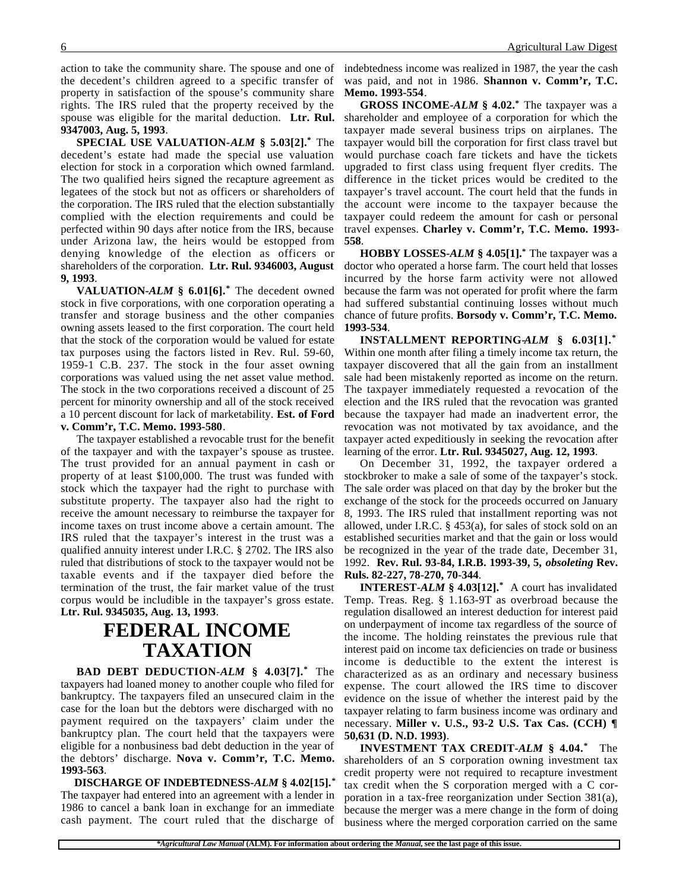action to take the community share. The spouse and one of the decedent's children agreed to a specific transfer of property in satisfaction of the spouse's community share rights. The IRS ruled that the property received by the spouse was eligible for the marital deduction. **Ltr. Rul. 9347003, Aug. 5, 1993**.

**SPECIAL USE VALUATION-***ALM* **§ 5.03[2].\*** The decedent's estate had made the special use valuation election for stock in a corporation which owned farmland. The two qualified heirs signed the recapture agreement as legatees of the stock but not as officers or shareholders of the corporation. The IRS ruled that the election substantially complied with the election requirements and could be perfected within 90 days after notice from the IRS, because under Arizona law, the heirs would be estopped from denying knowledge of the election as officers or shareholders of the corporation. **Ltr. Rul. 9346003, August 9, 1993**.

**VALUATION-***ALM* **§ 6.01[6].\*** The decedent owned stock in five corporations, with one corporation operating a transfer and storage business and the other companies owning assets leased to the first corporation. The court held that the stock of the corporation would be valued for estate tax purposes using the factors listed in Rev. Rul. 59-60, 1959-1 C.B. 237. The stock in the four asset owning corporations was valued using the net asset value method. The stock in the two corporations received a discount of 25 percent for minority ownership and all of the stock received a 10 percent discount for lack of marketability. **Est. of Ford v. Comm'r, T.C. Memo. 1993-580**.

The taxpayer established a revocable trust for the benefit of the taxpayer and with the taxpayer's spouse as trustee. The trust provided for an annual payment in cash or property of at least \$100,000. The trust was funded with stock which the taxpayer had the right to purchase with substitute property. The taxpayer also had the right to receive the amount necessary to reimburse the taxpayer for income taxes on trust income above a certain amount. The IRS ruled that the taxpayer's interest in the trust was a qualified annuity interest under I.R.C. § 2702. The IRS also ruled that distributions of stock to the taxpayer would not be taxable events and if the taxpayer died before the termination of the trust, the fair market value of the trust corpus would be includible in the taxpayer's gross estate. **Ltr. Rul. 9345035, Aug. 13, 1993**.

# **FEDERAL INCOME TAXATION**

**BAD DEBT DEDUCTION-***ALM* **§ 4.03[7].\*** The taxpayers had loaned money to another couple who filed for bankruptcy. The taxpayers filed an unsecured claim in the case for the loan but the debtors were discharged with no payment required on the taxpayers' claim under the bankruptcy plan. The court held that the taxpayers were eligible for a nonbusiness bad debt deduction in the year of the debtors' discharge. **Nova v. Comm'r, T.C. Memo. 1993-563**.

 **DISCHARGE OF INDEBTEDNESS-***ALM* **§ 4.02[15].\*** The taxpayer had entered into an agreement with a lender in 1986 to cancel a bank loan in exchange for an immediate cash payment. The court ruled that the discharge of

indebtedness income was realized in 1987, the year the cash was paid, and not in 1986. **Shannon v. Comm'r, T.C. Memo. 1993-554**.

**GROSS INCOME-***ALM* **§ 4.02.\*** The taxpayer was a shareholder and employee of a corporation for which the taxpayer made several business trips on airplanes. The taxpayer would bill the corporation for first class travel but would purchase coach fare tickets and have the tickets upgraded to first class using frequent flyer credits. The difference in the ticket prices would be credited to the taxpayer's travel account. The court held that the funds in the account were income to the taxpayer because the taxpayer could redeem the amount for cash or personal travel expenses. **Charley v. Comm'r, T.C. Memo. 1993- 558**.

**HOBBY LOSSES-***ALM* **§ 4.05[1].\*** The taxpayer was a doctor who operated a horse farm. The court held that losses incurred by the horse farm activity were not allowed because the farm was not operated for profit where the farm had suffered substantial continuing losses without much chance of future profits. **Borsody v. Comm'r, T.C. Memo. 1993-534**.

**INSTALLMENT REPORTING-***ALM* **§ 6.03[1].\*** Within one month after filing a timely income tax return, the taxpayer discovered that all the gain from an installment sale had been mistakenly reported as income on the return. The taxpayer immediately requested a revocation of the election and the IRS ruled that the revocation was granted because the taxpayer had made an inadvertent error, the revocation was not motivated by tax avoidance, and the taxpayer acted expeditiously in seeking the revocation after learning of the error. **Ltr. Rul. 9345027, Aug. 12, 1993**.

On December 31, 1992, the taxpayer ordered a stockbroker to make a sale of some of the taxpayer's stock. The sale order was placed on that day by the broker but the exchange of the stock for the proceeds occurred on January 8, 1993. The IRS ruled that installment reporting was not allowed, under I.R.C. § 453(a), for sales of stock sold on an established securities market and that the gain or loss would be recognized in the year of the trade date, December 31, 1992. **Rev. Rul. 93-84, I.R.B. 1993-39, 5,** *obsoleting* **Rev. Ruls. 82-227, 78-270, 70-344**.

**INTEREST-***ALM* **§ 4.03[12].\*** A court has invalidated Temp. Treas. Reg. § 1.163-9T as overbroad because the regulation disallowed an interest deduction for interest paid on underpayment of income tax regardless of the source of the income. The holding reinstates the previous rule that interest paid on income tax deficiencies on trade or business income is deductible to the extent the interest is characterized as as an ordinary and necessary business expense. The court allowed the IRS time to discover evidence on the issue of whether the interest paid by the taxpayer relating to farm business income was ordinary and necessary. **Miller v. U.S., 93-2 U.S. Tax Cas. (CCH) ¶ 50,631 (D. N.D. 1993)**.

**INVESTMENT TAX CREDIT-***ALM* **§ 4.04.\*** The shareholders of an S corporation owning investment tax credit property were not required to recapture investment tax credit when the S corporation merged with a C corporation in a tax-free reorganization under Section 381(a), because the merger was a mere change in the form of doing business where the merged corporation carried on the same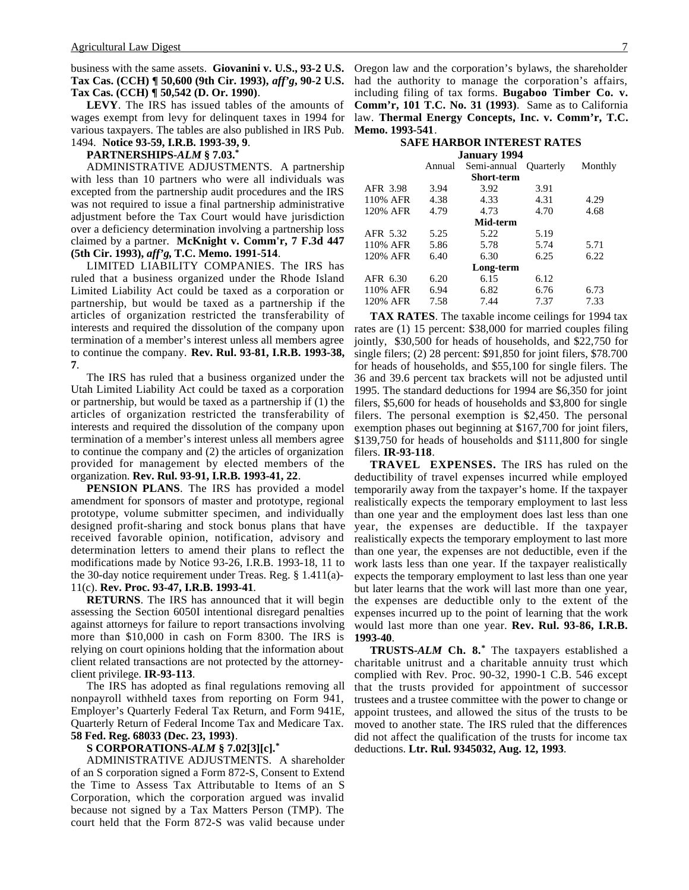business with the same assets. **Giovanini v. U.S., 93-2 U.S. Tax Cas. (CCH) ¶ 50,600 (9th Cir. 1993),** *aff'g***, 90-2 U.S. Tax Cas. (CCH) ¶ 50,542 (D. Or. 1990)**.

**LEVY**. The IRS has issued tables of the amounts of wages exempt from levy for delinquent taxes in 1994 for various taxpayers. The tables are also published in IRS Pub. 1494. **Notice 93-59, I.R.B. 1993-39, 9**.

### **PARTNERSHIPS-***ALM* **§ 7.03.\***

ADMINISTRATIVE ADJUSTMENTS. A partnership with less than 10 partners who were all individuals was excepted from the partnership audit procedures and the IRS was not required to issue a final partnership administrative adjustment before the Tax Court would have jurisdiction over a deficiency determination involving a partnership loss claimed by a partner. **McKnight v. Comm'r, 7 F.3d 447 (5th Cir. 1993),** *aff'g***, T.C. Memo. 1991-514**.

LIMITED LIABILITY COMPANIES. The IRS has ruled that a business organized under the Rhode Island Limited Liability Act could be taxed as a corporation or partnership, but would be taxed as a partnership if the articles of organization restricted the transferability of interests and required the dissolution of the company upon termination of a member's interest unless all members agree to continue the company. **Rev. Rul. 93-81, I.R.B. 1993-38, 7**.

The IRS has ruled that a business organized under the Utah Limited Liability Act could be taxed as a corporation or partnership, but would be taxed as a partnership if (1) the articles of organization restricted the transferability of interests and required the dissolution of the company upon termination of a member's interest unless all members agree to continue the company and (2) the articles of organization provided for management by elected members of the organization. **Rev. Rul. 93-91, I.R.B. 1993-41, 22**.

**PENSION PLANS**. The IRS has provided a model amendment for sponsors of master and prototype, regional prototype, volume submitter specimen, and individually designed profit-sharing and stock bonus plans that have received favorable opinion, notification, advisory and determination letters to amend their plans to reflect the modifications made by Notice 93-26, I.R.B. 1993-18, 11 to the 30-day notice requirement under Treas. Reg. § 1.411(a)- 11(c). **Rev. Proc. 93-47, I.R.B. 1993-41**.

**RETURNS**. The IRS has announced that it will begin assessing the Section 6050I intentional disregard penalties against attorneys for failure to report transactions involving more than \$10,000 in cash on Form 8300. The IRS is relying on court opinions holding that the information about client related transactions are not protected by the attorneyclient privilege. **IR-93-113**.

The IRS has adopted as final regulations removing all nonpayroll withheld taxes from reporting on Form 941, Employer's Quarterly Federal Tax Return, and Form 941E, Quarterly Return of Federal Income Tax and Medicare Tax. **58 Fed. Reg. 68033 (Dec. 23, 1993)**.

### **S CORPORATIONS-***ALM* **§ 7.02[3][c].\***

ADMINISTRATIVE ADJUSTMENTS. A shareholder of an S corporation signed a Form 872-S, Consent to Extend the Time to Assess Tax Attributable to Items of an S Corporation, which the corporation argued was invalid because not signed by a Tax Matters Person (TMP). The court held that the Form 872-S was valid because under

Oregon law and the corporation's bylaws, the shareholder had the authority to manage the corporation's affairs, including filing of tax forms. **Bugaboo Timber Co. v. Comm'r, 101 T.C. No. 31 (1993)**. Same as to California law. **Thermal Energy Concepts, Inc. v. Comm'r, T.C. Memo. 1993-541**.

#### **SAFE HARBOR INTEREST RATES January 1994**

| $J$ aliyal y $I/J$ |        |             |                  |         |
|--------------------|--------|-------------|------------------|---------|
|                    | Annual | Semi-annual | <b>Ouarterly</b> | Monthly |
|                    |        | Short-term  |                  |         |
| AFR 3.98           | 3.94   | 3.92        | 3.91             |         |
| 110% AFR           | 4.38   | 4.33        | 4.31             | 4.29    |
| 120% AFR           | 4.79   | 4.73        | 4.70             | 4.68    |
|                    |        | Mid-term    |                  |         |
| AFR 5.32           | 5.25   | 5.22        | 5.19             |         |
| 110% AFR           | 5.86   | 5.78        | 5.74             | 5.71    |
| 120% AFR           | 6.40   | 6.30        | 6.25             | 6.22    |
|                    |        | Long-term   |                  |         |
| AFR 6.30           | 6.20   | 6.15        | 6.12             |         |
| 110% AFR           | 6.94   | 6.82        | 6.76             | 6.73    |
| 120% AFR           | 7.58   | 7.44        | 7.37             | 7.33    |

**TAX RATES**. The taxable income ceilings for 1994 tax rates are (1) 15 percent: \$38,000 for married couples filing jointly, \$30,500 for heads of households, and \$22,750 for single filers; (2) 28 percent: \$91,850 for joint filers, \$78.700 for heads of households, and \$55,100 for single filers. The 36 and 39.6 percent tax brackets will not be adjusted until 1995. The standard deductions for 1994 are \$6,350 for joint filers, \$5,600 for heads of households and \$3,800 for single filers. The personal exemption is \$2,450. The personal exemption phases out beginning at \$167,700 for joint filers, \$139,750 for heads of households and \$111,800 for single filers. **IR-93-118**.

**TRAVEL EXPENSES.** The IRS has ruled on the deductibility of travel expenses incurred while employed temporarily away from the taxpayer's home. If the taxpayer realistically expects the temporary employment to last less than one year and the employment does last less than one year, the expenses are deductible. If the taxpayer realistically expects the temporary employment to last more than one year, the expenses are not deductible, even if the work lasts less than one year. If the taxpayer realistically expects the temporary employment to last less than one year but later learns that the work will last more than one year, the expenses are deductible only to the extent of the expenses incurred up to the point of learning that the work would last more than one year. **Rev. Rul. 93-86, I.R.B. 1993-40**.

**TRUSTS-***ALM* **Ch. 8.\*** The taxpayers established a charitable unitrust and a charitable annuity trust which complied with Rev. Proc. 90-32, 1990-1 C.B. 546 except that the trusts provided for appointment of successor trustees and a trustee committee with the power to change or appoint trustees, and allowed the situs of the trusts to be moved to another state. The IRS ruled that the differences did not affect the qualification of the trusts for income tax deductions. **Ltr. Rul. 9345032, Aug. 12, 1993**.